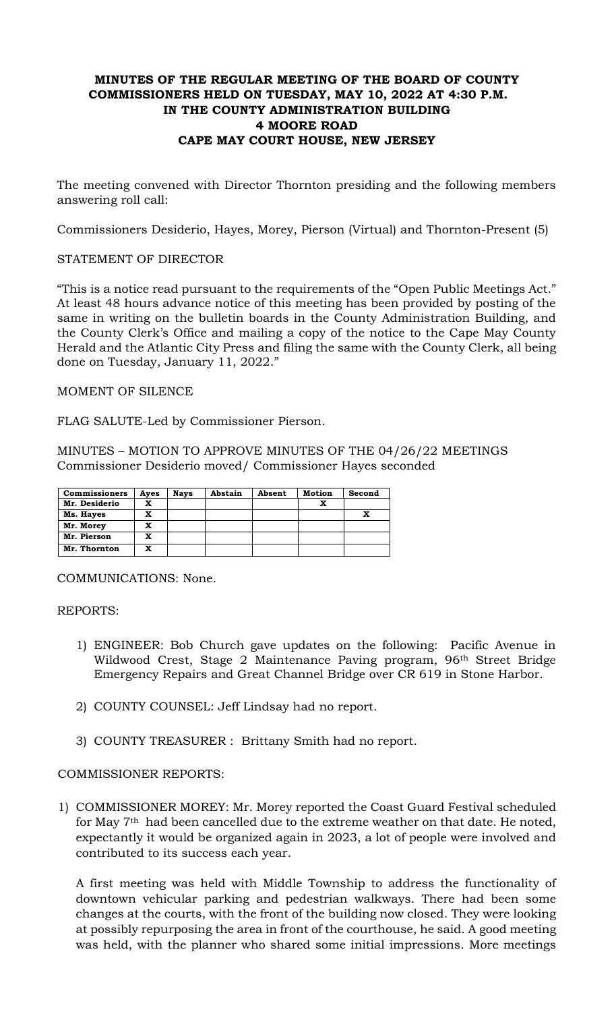# **MINUTES OF THE REGULAR MEETING OF THE BOARD OF COUNTY COMMISSIONERS HELD ON TUESDAY, MAY 10, 2022 AT 4:30 P.M. IN THE COUNTY ADMINISTRATION BUILDING 4 MOORE ROAD CAPE MAY COURT HOUSE, NEW JERSEY**

The meeting convened with Director Thornton presiding and the following members answering roll call:

Commissioners Desiderio, Hayes, Morey, Pierson (Virtual) and Thornton-Present (5)

# STATEMENT OF DIRECTOR

"This is a notice read pursuant to the requirements of the "Open Public Meetings Act." At least 48 hours advance notice of this meeting has been provided by posting of the same in writing on the bulletin boards in the County Administration Building, and the County Clerk's Office and mailing a copy of the notice to the Cape May County Herald and the Atlantic City Press and filing the same with the County Clerk, all being done on Tuesday, January 11, 2022."

# MOMENT OF SILENCE

FLAG SALUTE-Led by Commissioner Pierson.

MINUTES – MOTION TO APPROVE MINUTES OF THE 04/26/22 MEETINGS Commissioner Desiderio moved/ Commissioner Hayes seconded

| <b>Commissioners</b> | Ayes | <b>Nays</b> | Abstain | Absent | Motion | Second |
|----------------------|------|-------------|---------|--------|--------|--------|
| Mr. Desiderio        | x    |             |         |        |        |        |
| Ms. Hayes            | x    |             |         |        |        |        |
| Mr. Morey            | x    |             |         |        |        |        |
| Mr. Pierson          | x    |             |         |        |        |        |
| Mr. Thornton         | x    |             |         |        |        |        |

COMMUNICATIONS: None.

REPORTS:

- 1) ENGINEER: Bob Church gave updates on the following: Pacific Avenue in Wildwood Crest, Stage 2 Maintenance Paving program, 96th Street Bridge Emergency Repairs and Great Channel Bridge over CR 619 in Stone Harbor.
- 2) COUNTY COUNSEL: Jeff Lindsay had no report.
- 3) COUNTY TREASURER : Brittany Smith had no report.

# COMMISSIONER REPORTS:

1) COMMISSIONER MOREY: Mr. Morey reported the Coast Guard Festival scheduled for May  $7<sup>th</sup>$  had been cancelled due to the extreme weather on that date. He noted, expectantly it would be organized again in 2023, a lot of people were involved and contributed to its success each year.

A first meeting was held with Middle Township to address the functionality of downtown vehicular parking and pedestrian walkways. There had been some changes at the courts, with the front of the building now closed. They were looking at possibly repurposing the area in front of the courthouse, he said. A good meeting was held, with the planner who shared some initial impressions. More meetings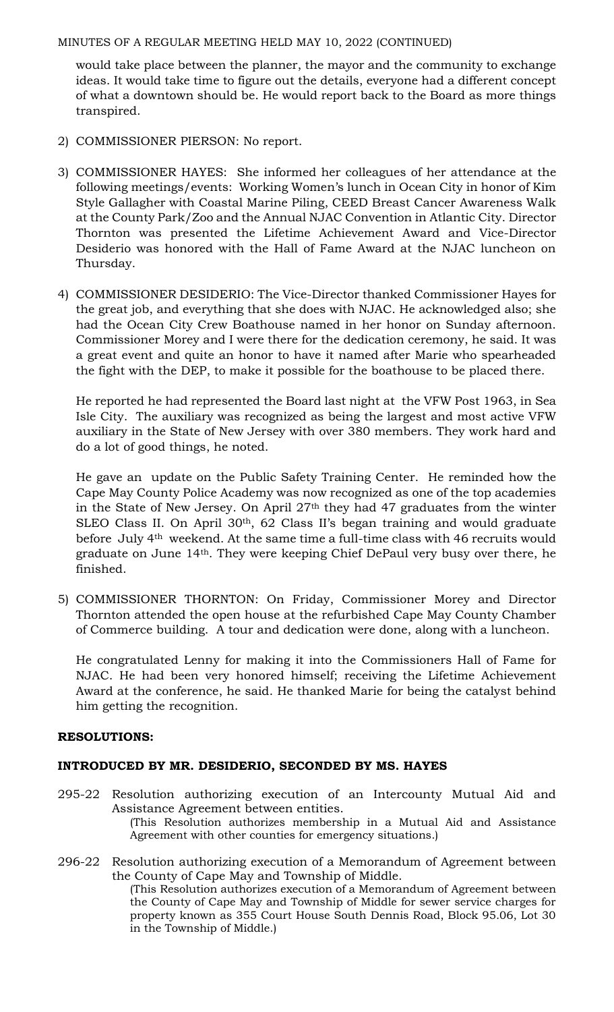would take place between the planner, the mayor and the community to exchange ideas. It would take time to figure out the details, everyone had a different concept of what a downtown should be. He would report back to the Board as more things transpired.

- 2) COMMISSIONER PIERSON: No report.
- 3) COMMISSIONER HAYES: She informed her colleagues of her attendance at the following meetings/events: Working Women's lunch in Ocean City in honor of Kim Style Gallagher with Coastal Marine Piling, CEED Breast Cancer Awareness Walk at the County Park/Zoo and the Annual NJAC Convention in Atlantic City. Director Thornton was presented the Lifetime Achievement Award and Vice-Director Desiderio was honored with the Hall of Fame Award at the NJAC luncheon on Thursday.
- 4) COMMISSIONER DESIDERIO: The Vice-Director thanked Commissioner Hayes for the great job, and everything that she does with NJAC. He acknowledged also; she had the Ocean City Crew Boathouse named in her honor on Sunday afternoon. Commissioner Morey and I were there for the dedication ceremony, he said. It was a great event and quite an honor to have it named after Marie who spearheaded the fight with the DEP, to make it possible for the boathouse to be placed there.

He reported he had represented the Board last night at the VFW Post 1963, in Sea Isle City. The auxiliary was recognized as being the largest and most active VFW auxiliary in the State of New Jersey with over 380 members. They work hard and do a lot of good things, he noted.

He gave an update on the Public Safety Training Center. He reminded how the Cape May County Police Academy was now recognized as one of the top academies in the State of New Jersey. On April 27th they had 47 graduates from the winter SLEO Class II. On April 30<sup>th</sup>, 62 Class II's began training and would graduate before July 4th weekend. At the same time a full-time class with 46 recruits would graduate on June 14th. They were keeping Chief DePaul very busy over there, he finished.

5) COMMISSIONER THORNTON: On Friday, Commissioner Morey and Director Thornton attended the open house at the refurbished Cape May County Chamber of Commerce building. A tour and dedication were done, along with a luncheon.

He congratulated Lenny for making it into the Commissioners Hall of Fame for NJAC. He had been very honored himself; receiving the Lifetime Achievement Award at the conference, he said. He thanked Marie for being the catalyst behind him getting the recognition.

# **RESOLUTIONS:**

# **INTRODUCED BY MR. DESIDERIO, SECONDED BY MS. HAYES**

- 295-22 Resolution authorizing execution of an Intercounty Mutual Aid and Assistance Agreement between entities. (This Resolution authorizes membership in a Mutual Aid and Assistance Agreement with other counties for emergency situations.)
- 296-22 Resolution authorizing execution of a Memorandum of Agreement between the County of Cape May and Township of Middle. (This Resolution authorizes execution of a Memorandum of Agreement between the County of Cape May and Township of Middle for sewer service charges for property known as 355 Court House South Dennis Road, Block 95.06, Lot 30 in the Township of Middle.)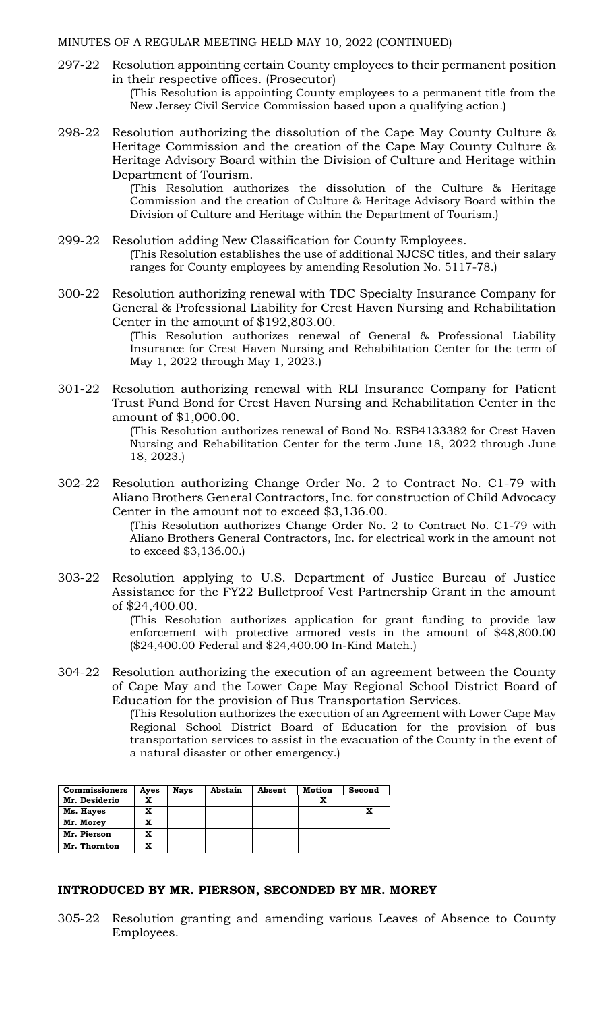297-22 Resolution appointing certain County employees to their permanent position in their respective offices. (Prosecutor)

(This Resolution is appointing County employees to a permanent title from the New Jersey Civil Service Commission based upon a qualifying action*.*)

298-22 Resolution authorizing the dissolution of the Cape May County Culture & Heritage Commission and the creation of the Cape May County Culture & Heritage Advisory Board within the Division of Culture and Heritage within Department of Tourism.

> (This Resolution authorizes the dissolution of the Culture & Heritage Commission and the creation of Culture & Heritage Advisory Board within the Division of Culture and Heritage within the Department of Tourism.)

- 299-22 Resolution adding New Classification for County Employees. (This Resolution establishes the use of additional NJCSC titles, and their salary ranges for County employees by amending Resolution No. 5117-78.)
- 300-22 Resolution authorizing renewal with TDC Specialty Insurance Company for General & Professional Liability for Crest Haven Nursing and Rehabilitation Center in the amount of \$192,803.00.

(This Resolution authorizes renewal of General & Professional Liability Insurance for Crest Haven Nursing and Rehabilitation Center for the term of May 1, 2022 through May 1, 2023.)

301-22 Resolution authorizing renewal with RLI Insurance Company for Patient Trust Fund Bond for Crest Haven Nursing and Rehabilitation Center in the amount of \$1,000.00.

> (This Resolution authorizes renewal of Bond No. RSB4133382 for Crest Haven Nursing and Rehabilitation Center for the term June 18, 2022 through June 18, 2023.)

302-22 Resolution authorizing Change Order No. 2 to Contract No. C1-79 with Aliano Brothers General Contractors, Inc. for construction of Child Advocacy Center in the amount not to exceed \$3,136.00.

> (This Resolution authorizes Change Order No. 2 to Contract No. C1-79 with Aliano Brothers General Contractors, Inc. for electrical work in the amount not to exceed \$3,136.00.)

303-22 Resolution applying to U.S. Department of Justice Bureau of Justice Assistance for the FY22 Bulletproof Vest Partnership Grant in the amount of \$24,400.00.

> (This Resolution authorizes application for grant funding to provide law enforcement with protective armored vests in the amount of \$48,800.00 (\$24,400.00 Federal and \$24,400.00 In-Kind Match.)

304-22 Resolution authorizing the execution of an agreement between the County of Cape May and the Lower Cape May Regional School District Board of Education for the provision of Bus Transportation Services.

(This Resolution authorizes the execution of an Agreement with Lower Cape May Regional School District Board of Education for the provision of bus transportation services to assist in the evacuation of the County in the event of a natural disaster or other emergency.)

| <b>Commissioners</b> | Ayes | <b>Nays</b> | Abstain | Absent | <b>Motion</b> | Second |
|----------------------|------|-------------|---------|--------|---------------|--------|
| Mr. Desiderio        | x    |             |         |        |               |        |
| Ms. Hayes            | x    |             |         |        |               | x      |
| Mr. Morey            | x    |             |         |        |               |        |
| Mr. Pierson          | x    |             |         |        |               |        |
| Mr. Thornton         | x    |             |         |        |               |        |

#### **INTRODUCED BY MR. PIERSON, SECONDED BY MR. MOREY**

305-22 Resolution granting and amending various Leaves of Absence to County Employees.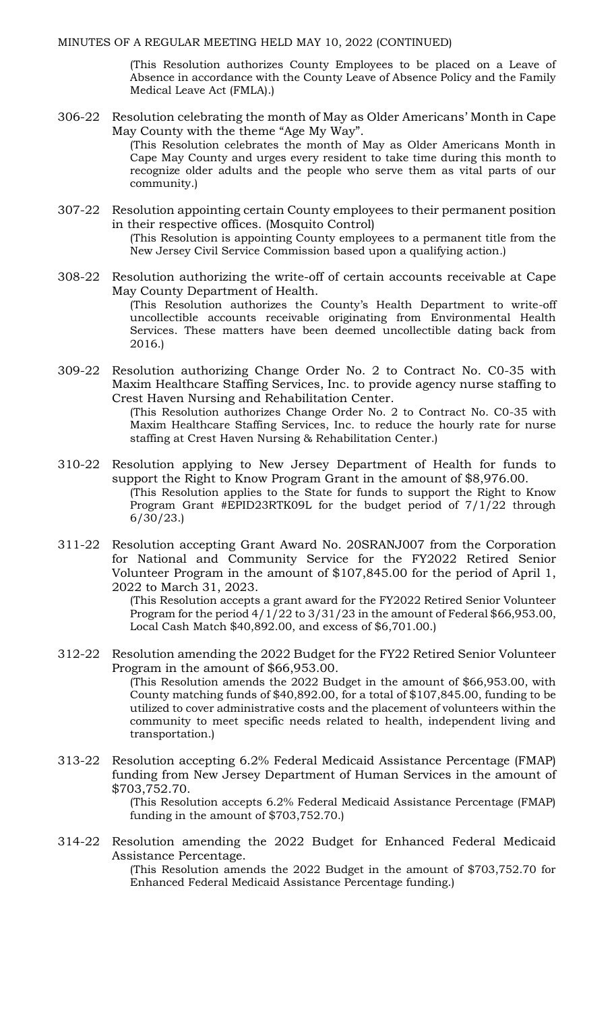(This Resolution authorizes County Employees to be placed on a Leave of Absence in accordance with the County Leave of Absence Policy and the Family Medical Leave Act (FMLA).)

306-22 Resolution celebrating the month of May as Older Americans' Month in Cape May County with the theme "Age My Way".

> (This Resolution celebrates the month of May as Older Americans Month in Cape May County and urges every resident to take time during this month to recognize older adults and the people who serve them as vital parts of our community.)

- 307-22 Resolution appointing certain County employees to their permanent position in their respective offices. (Mosquito Control) (This Resolution is appointing County employees to a permanent title from the New Jersey Civil Service Commission based upon a qualifying action*.*)
- 308-22 Resolution authorizing the write-off of certain accounts receivable at Cape May County Department of Health. (This Resolution authorizes the County's Health Department to write-off uncollectible accounts receivable originating from Environmental Health Services. These matters have been deemed uncollectible dating back from 2016.)
- 309-22 Resolution authorizing Change Order No. 2 to Contract No. C0-35 with Maxim Healthcare Staffing Services, Inc. to provide agency nurse staffing to Crest Haven Nursing and Rehabilitation Center.
	- (This Resolution authorizes Change Order No. 2 to Contract No. C0-35 with Maxim Healthcare Staffing Services, Inc. to reduce the hourly rate for nurse staffing at Crest Haven Nursing & Rehabilitation Center.)
- 310-22 Resolution applying to New Jersey Department of Health for funds to support the Right to Know Program Grant in the amount of \$8,976.00. (This Resolution applies to the State for funds to support the Right to Know Program Grant #EPID23RTK09L for the budget period of 7/1/22 through 6/30/23.)
- 311-22 Resolution accepting Grant Award No. 20SRANJ007 from the Corporation for National and Community Service for the FY2022 Retired Senior Volunteer Program in the amount of \$107,845.00 for the period of April 1, 2022 to March 31, 2023.

(This Resolution accepts a grant award for the FY2022 Retired Senior Volunteer Program for the period  $4/1/22$  to  $3/31/23$  in the amount of Federal \$66,953.00, Local Cash Match \$40,892.00, and excess of \$6,701.00.)

312-22 Resolution amending the 2022 Budget for the FY22 Retired Senior Volunteer Program in the amount of \$66,953.00.

(This Resolution amends the 2022 Budget in the amount of \$66,953.00, with County matching funds of \$40,892.00, for a total of \$107,845.00, funding to be utilized to cover administrative costs and the placement of volunteers within the community to meet specific needs related to health, independent living and transportation.)

313-22 Resolution accepting 6.2% Federal Medicaid Assistance Percentage (FMAP) funding from New Jersey Department of Human Services in the amount of \$703,752.70.

> (This Resolution accepts 6.2% Federal Medicaid Assistance Percentage (FMAP) funding in the amount of \$703,752.70.)

314-22 Resolution amending the 2022 Budget for Enhanced Federal Medicaid Assistance Percentage.

(This Resolution amends the 2022 Budget in the amount of \$703,752.70 for Enhanced Federal Medicaid Assistance Percentage funding.)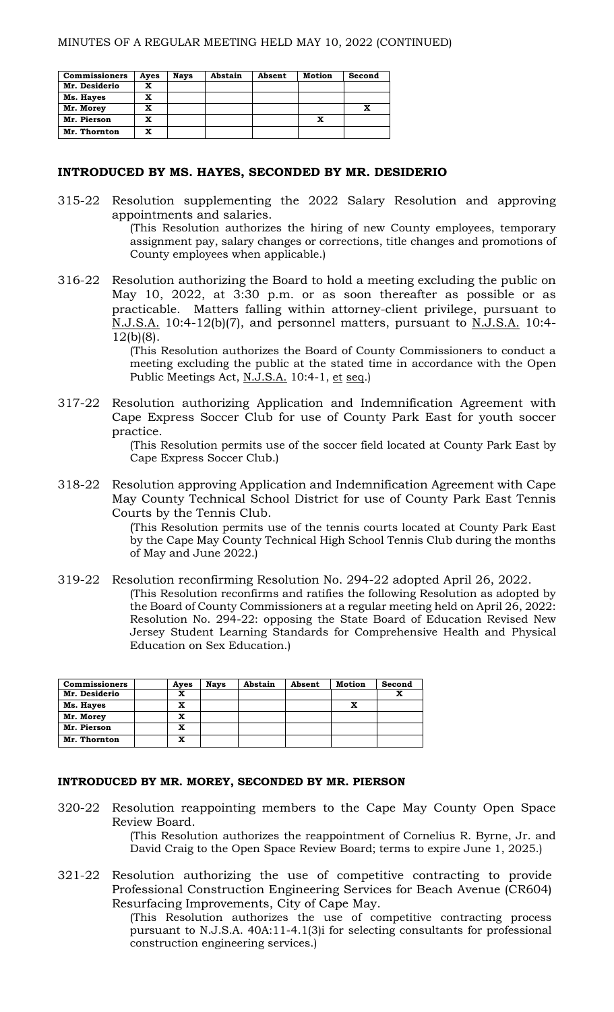| <b>Commissioners</b> | Ayes | <b>Nays</b> | Abstain | Absent | Motion | Second |
|----------------------|------|-------------|---------|--------|--------|--------|
| Mr. Desiderio        | x    |             |         |        |        |        |
| Ms. Hayes            | x    |             |         |        |        |        |
| Mr. Morey            | x    |             |         |        |        |        |
| Mr. Pierson          | X    |             |         |        |        |        |
| Mr. Thornton         | x    |             |         |        |        |        |

### **INTRODUCED BY MS. HAYES, SECONDED BY MR. DESIDERIO**

315-22 Resolution supplementing the 2022 Salary Resolution and approving appointments and salaries. (This Resolution authorizes the hiring of new County employees, temporary

assignment pay, salary changes or corrections, title changes and promotions of County employees when applicable.)

316-22 Resolution authorizing the Board to hold a meeting excluding the public on May 10, 2022, at 3:30 p.m. or as soon thereafter as possible or as practicable. Matters falling within attorney-client privilege, pursuant to N.J.S.A. 10:4-12(b)(7), and personnel matters, pursuant to N.J.S.A. 10:4- 12(b)(8).

> (This Resolution authorizes the Board of County Commissioners to conduct a meeting excluding the public at the stated time in accordance with the Open Public Meetings Act, N.J.S.A. 10:4-1, et seq.)

317-22 Resolution authorizing Application and Indemnification Agreement with Cape Express Soccer Club for use of County Park East for youth soccer practice.

> (This Resolution permits use of the soccer field located at County Park East by Cape Express Soccer Club.)

318-22 Resolution approving Application and Indemnification Agreement with Cape May County Technical School District for use of County Park East Tennis Courts by the Tennis Club.

> (This Resolution permits use of the tennis courts located at County Park East by the Cape May County Technical High School Tennis Club during the months of May and June 2022.)

319-22 Resolution reconfirming Resolution No. 294-22 adopted April 26, 2022. (This Resolution reconfirms and ratifies the following Resolution as adopted by the Board of County Commissioners at a regular meeting held on April 26, 2022: Resolution No. 294-22: opposing the State Board of Education Revised New Jersey Student Learning Standards for Comprehensive Health and Physical Education on Sex Education.)

| <b>Commissioners</b> | Ayes | <b>Navs</b> | Abstain | Absent | Motion | Second |
|----------------------|------|-------------|---------|--------|--------|--------|
| Mr. Desiderio        | x    |             |         |        |        |        |
| Ms. Hayes            | x    |             |         |        |        |        |
| Mr. Morey            | x    |             |         |        |        |        |
| Mr. Pierson          | x    |             |         |        |        |        |
| Mr. Thornton         | x    |             |         |        |        |        |

#### **INTRODUCED BY MR. MOREY, SECONDED BY MR. PIERSON**

320-22 Resolution reappointing members to the Cape May County Open Space Review Board.

> (This Resolution authorizes the reappointment of Cornelius R. Byrne, Jr. and David Craig to the Open Space Review Board; terms to expire June 1, 2025.)

321-22 Resolution authorizing the use of competitive contracting to provide Professional Construction Engineering Services for Beach Avenue (CR604) Resurfacing Improvements, City of Cape May.

(This Resolution authorizes the use of competitive contracting process pursuant to N.J.S.A. 40A:11-4.1(3)i for selecting consultants for professional construction engineering services.)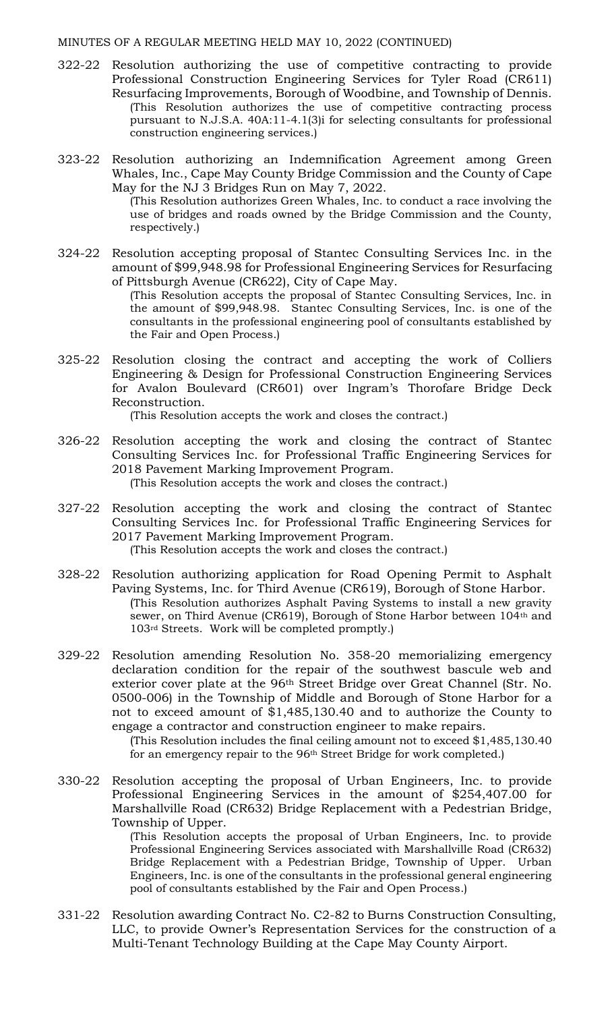- 322-22 Resolution authorizing the use of competitive contracting to provide Professional Construction Engineering Services for Tyler Road (CR611) Resurfacing Improvements, Borough of Woodbine, and Township of Dennis. (This Resolution authorizes the use of competitive contracting process pursuant to N.J.S.A. 40A:11-4.1(3)i for selecting consultants for professional construction engineering services.)
- 323-22 Resolution authorizing an Indemnification Agreement among Green Whales, Inc., Cape May County Bridge Commission and the County of Cape May for the NJ 3 Bridges Run on May 7, 2022.

(This Resolution authorizes Green Whales, Inc. to conduct a race involving the use of bridges and roads owned by the Bridge Commission and the County, respectively.)

324-22 Resolution accepting proposal of Stantec Consulting Services Inc. in the amount of \$99,948.98 for Professional Engineering Services for Resurfacing of Pittsburgh Avenue (CR622), City of Cape May.

(This Resolution accepts the proposal of Stantec Consulting Services, Inc. in the amount of \$99,948.98. Stantec Consulting Services, Inc. is one of the consultants in the professional engineering pool of consultants established by the Fair and Open Process.)

325-22 Resolution closing the contract and accepting the work of Colliers Engineering & Design for Professional Construction Engineering Services for Avalon Boulevard (CR601) over Ingram's Thorofare Bridge Deck Reconstruction.

(This Resolution accepts the work and closes the contract.)

- 326-22 Resolution accepting the work and closing the contract of Stantec Consulting Services Inc. for Professional Traffic Engineering Services for 2018 Pavement Marking Improvement Program. (This Resolution accepts the work and closes the contract.)
- 327-22 Resolution accepting the work and closing the contract of Stantec Consulting Services Inc. for Professional Traffic Engineering Services for 2017 Pavement Marking Improvement Program. (This Resolution accepts the work and closes the contract.)
- 328-22 Resolution authorizing application for Road Opening Permit to Asphalt Paving Systems, Inc. for Third Avenue (CR619), Borough of Stone Harbor. (This Resolution authorizes Asphalt Paving Systems to install a new gravity sewer, on Third Avenue (CR619), Borough of Stone Harbor between 104<sup>th</sup> and 103rd Streets. Work will be completed promptly.)
- 329-22 Resolution amending Resolution No. 358-20 memorializing emergency declaration condition for the repair of the southwest bascule web and exterior cover plate at the 96<sup>th</sup> Street Bridge over Great Channel (Str. No. 0500-006) in the Township of Middle and Borough of Stone Harbor for a not to exceed amount of \$1,485,130.40 and to authorize the County to engage a contractor and construction engineer to make repairs.

(This Resolution includes the final ceiling amount not to exceed \$1,485,130.40 for an emergency repair to the 96<sup>th</sup> Street Bridge for work completed.)

330-22 Resolution accepting the proposal of Urban Engineers, Inc. to provide Professional Engineering Services in the amount of \$254,407.00 for Marshallville Road (CR632) Bridge Replacement with a Pedestrian Bridge, Township of Upper.

> (This Resolution accepts the proposal of Urban Engineers, Inc. to provide Professional Engineering Services associated with Marshallville Road (CR632) Bridge Replacement with a Pedestrian Bridge, Township of Upper. Urban Engineers, Inc. is one of the consultants in the professional general engineering pool of consultants established by the Fair and Open Process.)

331-22 Resolution awarding Contract No. C2-82 to Burns Construction Consulting, LLC, to provide Owner's Representation Services for the construction of a Multi-Tenant Technology Building at the Cape May County Airport.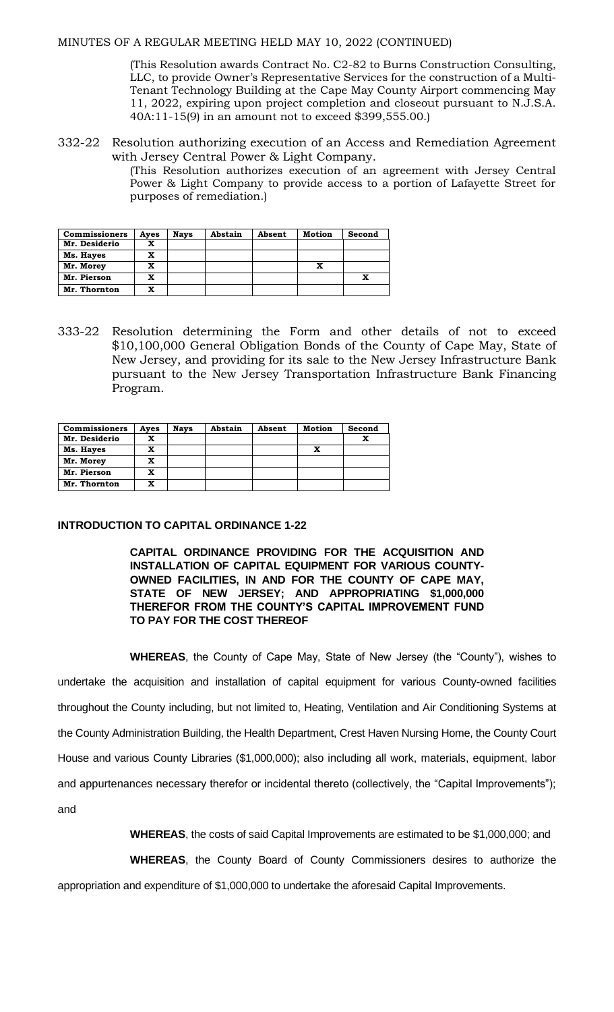(This Resolution awards Contract No. C2-82 to Burns Construction Consulting, LLC, to provide Owner's Representative Services for the construction of a Multi-Tenant Technology Building at the Cape May County Airport commencing May 11, 2022, expiring upon project completion and closeout pursuant to N.J.S.A. 40A:11-15(9) in an amount not to exceed \$399,555.00.)

332-22 Resolution authorizing execution of an Access and Remediation Agreement with Jersey Central Power & Light Company.

> (This Resolution authorizes execution of an agreement with Jersey Central Power & Light Company to provide access to a portion of Lafayette Street for purposes of remediation.)

| <b>Commissioners</b> | Ayes | <b>Nays</b> | Abstain | Absent | Motion | Second |
|----------------------|------|-------------|---------|--------|--------|--------|
| Mr. Desiderio        |      |             |         |        |        |        |
| Ms. Hayes            |      |             |         |        |        |        |
| Mr. Morey            |      |             |         |        |        |        |
| Mr. Pierson          |      |             |         |        |        |        |
| Mr. Thornton         |      |             |         |        |        |        |

333-22 Resolution determining the Form and other details of not to exceed \$10,100,000 General Obligation Bonds of the County of Cape May, State of New Jersey, and providing for its sale to the New Jersey Infrastructure Bank pursuant to the New Jersey Transportation Infrastructure Bank Financing Program.

| <b>Commissioners</b> | Ayes | <b>Nays</b> | Abstain | Absent | Motion | Second |
|----------------------|------|-------------|---------|--------|--------|--------|
| Mr. Desiderio        |      |             |         |        |        |        |
| Ms. Hayes            |      |             |         |        | x      |        |
| Mr. Morey            |      |             |         |        |        |        |
| Mr. Pierson          |      |             |         |        |        |        |
| Mr. Thornton         |      |             |         |        |        |        |

### **INTRODUCTION TO CAPITAL ORDINANCE 1-22**

**CAPITAL ORDINANCE PROVIDING FOR THE ACQUISITION AND INSTALLATION OF CAPITAL EQUIPMENT FOR VARIOUS COUNTY-OWNED FACILITIES, IN AND FOR THE COUNTY OF CAPE MAY, STATE OF NEW JERSEY; AND APPROPRIATING \$1,000,000 THEREFOR FROM THE COUNTY'S CAPITAL IMPROVEMENT FUND TO PAY FOR THE COST THEREOF**

**WHEREAS**, the County of Cape May, State of New Jersey (the "County"), wishes to undertake the acquisition and installation of capital equipment for various County-owned facilities throughout the County including, but not limited to, Heating, Ventilation and Air Conditioning Systems at the County Administration Building, the Health Department, Crest Haven Nursing Home, the County Court House and various County Libraries (\$1,000,000); also including all work, materials, equipment, labor and appurtenances necessary therefor or incidental thereto (collectively, the "Capital Improvements"); and

**WHEREAS**, the costs of said Capital Improvements are estimated to be \$1,000,000; and

**WHEREAS**, the County Board of County Commissioners desires to authorize the

appropriation and expenditure of \$1,000,000 to undertake the aforesaid Capital Improvements.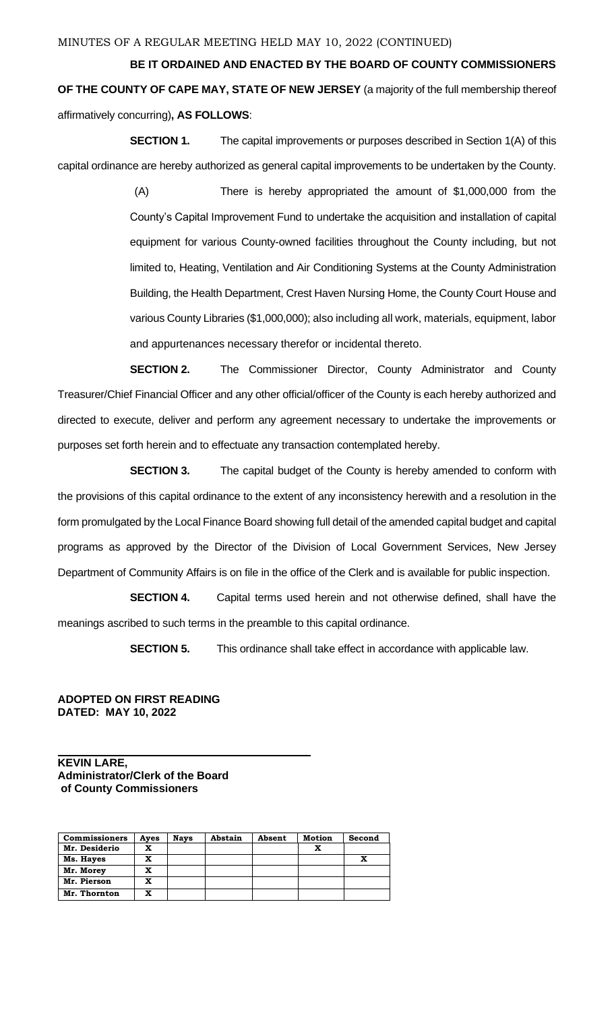**BE IT ORDAINED AND ENACTED BY THE BOARD OF COUNTY COMMISSIONERS OF THE COUNTY OF CAPE MAY, STATE OF NEW JERSEY** (a majority of the full membership thereof affirmatively concurring)**, AS FOLLOWS**:

**SECTION 1.** The capital improvements or purposes described in Section 1(A) of this capital ordinance are hereby authorized as general capital improvements to be undertaken by the County.

> (A) There is hereby appropriated the amount of \$1,000,000 from the County's Capital Improvement Fund to undertake the acquisition and installation of capital equipment for various County-owned facilities throughout the County including, but not limited to, Heating, Ventilation and Air Conditioning Systems at the County Administration Building, the Health Department, Crest Haven Nursing Home, the County Court House and various County Libraries (\$1,000,000); also including all work, materials, equipment, labor and appurtenances necessary therefor or incidental thereto.

**SECTION 2.** The Commissioner Director, County Administrator and County Treasurer/Chief Financial Officer and any other official/officer of the County is each hereby authorized and directed to execute, deliver and perform any agreement necessary to undertake the improvements or purposes set forth herein and to effectuate any transaction contemplated hereby.

**SECTION 3.** The capital budget of the County is hereby amended to conform with the provisions of this capital ordinance to the extent of any inconsistency herewith and a resolution in the form promulgated by the Local Finance Board showing full detail of the amended capital budget and capital programs as approved by the Director of the Division of Local Government Services, New Jersey Department of Community Affairs is on file in the office of the Clerk and is available for public inspection.

**SECTION 4.** Capital terms used herein and not otherwise defined, shall have the meanings ascribed to such terms in the preamble to this capital ordinance.

**SECTION 5.** This ordinance shall take effect in accordance with applicable law.

### **ADOPTED ON FIRST READING DATED: MAY 10, 2022**

**KEVIN LARE, Administrator/Clerk of the Board of County Commissioners**

| <b>Commissioners</b> | Ayes | <b>Nays</b> | Abstain | Absent | <b>Motion</b> | Second |
|----------------------|------|-------------|---------|--------|---------------|--------|
| Mr. Desiderio        | x    |             |         |        | x             |        |
| Ms. Hayes            | x    |             |         |        |               |        |
| Mr. Morey            | x    |             |         |        |               |        |
| Mr. Pierson          | X    |             |         |        |               |        |
| Mr. Thornton         | x    |             |         |        |               |        |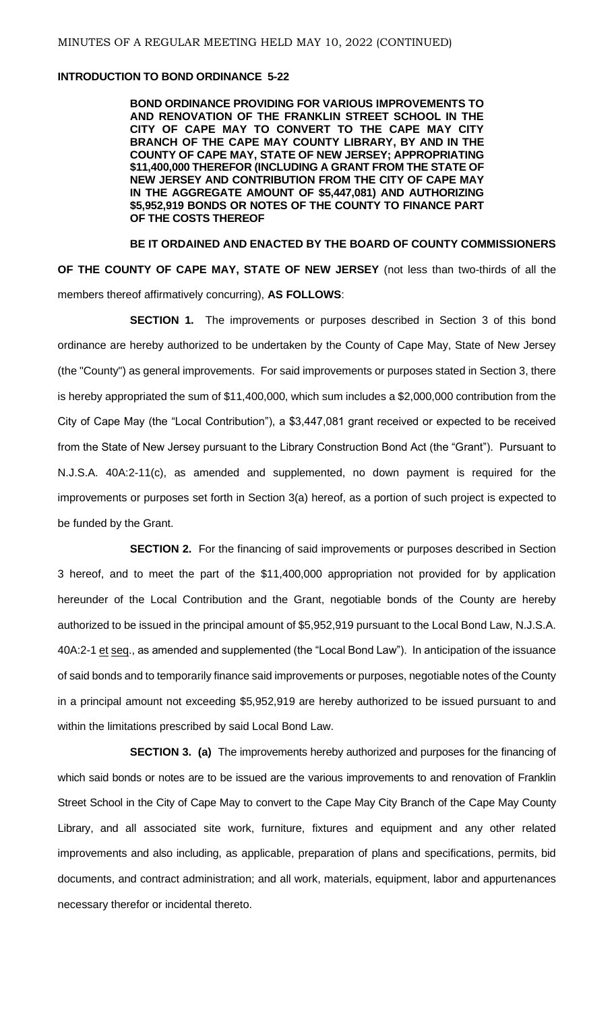#### **INTRODUCTION TO BOND ORDINANCE 5-22**

**BOND ORDINANCE PROVIDING FOR VARIOUS IMPROVEMENTS TO AND RENOVATION OF THE FRANKLIN STREET SCHOOL IN THE CITY OF CAPE MAY TO CONVERT TO THE CAPE MAY CITY BRANCH OF THE CAPE MAY COUNTY LIBRARY, BY AND IN THE COUNTY OF CAPE MAY, STATE OF NEW JERSEY; APPROPRIATING \$11,400,000 THEREFOR (INCLUDING A GRANT FROM THE STATE OF NEW JERSEY AND CONTRIBUTION FROM THE CITY OF CAPE MAY IN THE AGGREGATE AMOUNT OF \$5,447,081) AND AUTHORIZING \$5,952,919 BONDS OR NOTES OF THE COUNTY TO FINANCE PART OF THE COSTS THEREOF**

**BE IT ORDAINED AND ENACTED BY THE BOARD OF COUNTY COMMISSIONERS OF THE COUNTY OF CAPE MAY, STATE OF NEW JERSEY** (not less than two-thirds of all the members thereof affirmatively concurring), **AS FOLLOWS**:

**SECTION 1.** The improvements or purposes described in Section 3 of this bond ordinance are hereby authorized to be undertaken by the County of Cape May, State of New Jersey (the "County") as general improvements. For said improvements or purposes stated in Section 3, there is hereby appropriated the sum of \$11,400,000, which sum includes a \$2,000,000 contribution from the City of Cape May (the "Local Contribution"), a \$3,447,081 grant received or expected to be received from the State of New Jersey pursuant to the Library Construction Bond Act (the "Grant"). Pursuant to N.J.S.A. 40A:2-11(c), as amended and supplemented, no down payment is required for the improvements or purposes set forth in Section 3(a) hereof, as a portion of such project is expected to be funded by the Grant.

**SECTION 2.** For the financing of said improvements or purposes described in Section 3 hereof, and to meet the part of the \$11,400,000 appropriation not provided for by application hereunder of the Local Contribution and the Grant, negotiable bonds of the County are hereby authorized to be issued in the principal amount of \$5,952,919 pursuant to the Local Bond Law, N.J.S.A. 40A:2-1 et seq., as amended and supplemented (the "Local Bond Law"). In anticipation of the issuance of said bonds and to temporarily finance said improvements or purposes, negotiable notes of the County in a principal amount not exceeding \$5,952,919 are hereby authorized to be issued pursuant to and within the limitations prescribed by said Local Bond Law.

**SECTION 3. (a)** The improvements hereby authorized and purposes for the financing of which said bonds or notes are to be issued are the various improvements to and renovation of Franklin Street School in the City of Cape May to convert to the Cape May City Branch of the Cape May County Library, and all associated site work, furniture, fixtures and equipment and any other related improvements and also including, as applicable, preparation of plans and specifications, permits, bid documents, and contract administration; and all work, materials, equipment, labor and appurtenances necessary therefor or incidental thereto.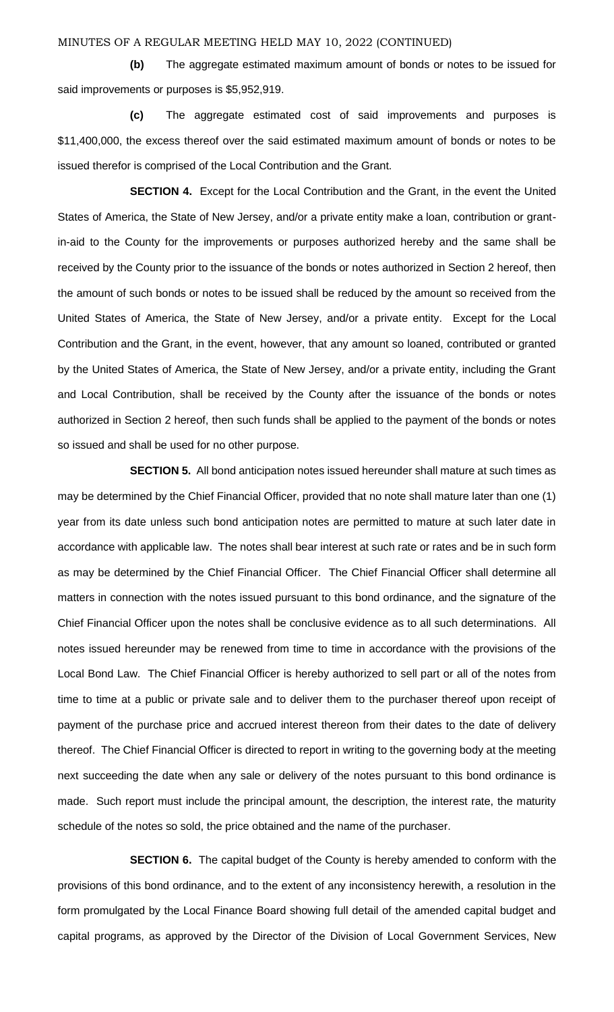**(b)** The aggregate estimated maximum amount of bonds or notes to be issued for said improvements or purposes is \$5,952,919.

**(c)** The aggregate estimated cost of said improvements and purposes is \$11,400,000, the excess thereof over the said estimated maximum amount of bonds or notes to be issued therefor is comprised of the Local Contribution and the Grant.

**SECTION 4.** Except for the Local Contribution and the Grant, in the event the United States of America, the State of New Jersey, and/or a private entity make a loan, contribution or grantin-aid to the County for the improvements or purposes authorized hereby and the same shall be received by the County prior to the issuance of the bonds or notes authorized in Section 2 hereof, then the amount of such bonds or notes to be issued shall be reduced by the amount so received from the United States of America, the State of New Jersey, and/or a private entity. Except for the Local Contribution and the Grant, in the event, however, that any amount so loaned, contributed or granted by the United States of America, the State of New Jersey, and/or a private entity, including the Grant and Local Contribution, shall be received by the County after the issuance of the bonds or notes authorized in Section 2 hereof, then such funds shall be applied to the payment of the bonds or notes so issued and shall be used for no other purpose.

**SECTION 5.** All bond anticipation notes issued hereunder shall mature at such times as may be determined by the Chief Financial Officer, provided that no note shall mature later than one (1) year from its date unless such bond anticipation notes are permitted to mature at such later date in accordance with applicable law. The notes shall bear interest at such rate or rates and be in such form as may be determined by the Chief Financial Officer. The Chief Financial Officer shall determine all matters in connection with the notes issued pursuant to this bond ordinance, and the signature of the Chief Financial Officer upon the notes shall be conclusive evidence as to all such determinations. All notes issued hereunder may be renewed from time to time in accordance with the provisions of the Local Bond Law. The Chief Financial Officer is hereby authorized to sell part or all of the notes from time to time at a public or private sale and to deliver them to the purchaser thereof upon receipt of payment of the purchase price and accrued interest thereon from their dates to the date of delivery thereof. The Chief Financial Officer is directed to report in writing to the governing body at the meeting next succeeding the date when any sale or delivery of the notes pursuant to this bond ordinance is made. Such report must include the principal amount, the description, the interest rate, the maturity schedule of the notes so sold, the price obtained and the name of the purchaser.

**SECTION 6.** The capital budget of the County is hereby amended to conform with the provisions of this bond ordinance, and to the extent of any inconsistency herewith, a resolution in the form promulgated by the Local Finance Board showing full detail of the amended capital budget and capital programs, as approved by the Director of the Division of Local Government Services, New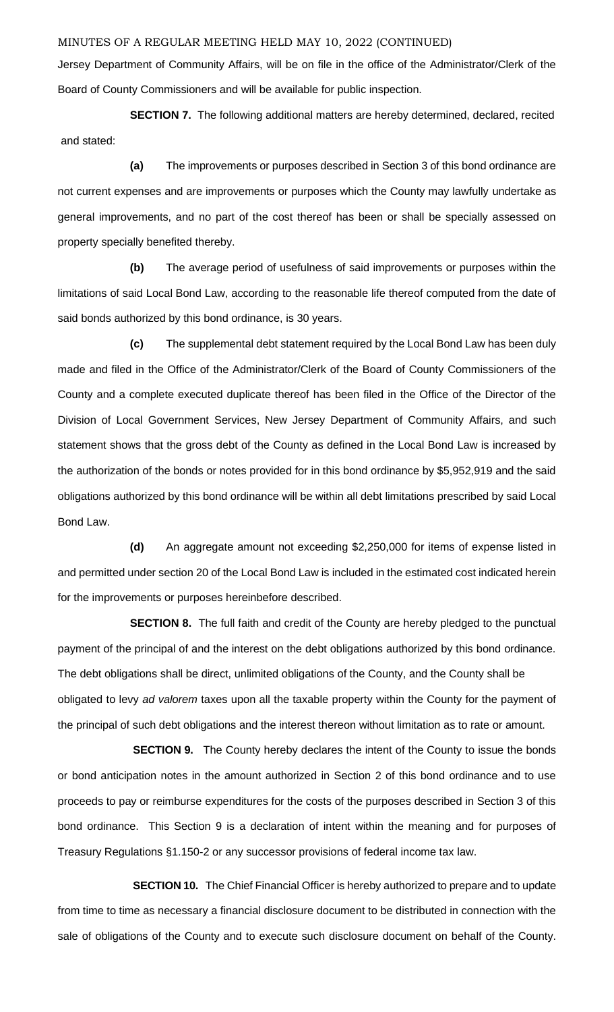Jersey Department of Community Affairs, will be on file in the office of the Administrator/Clerk of the Board of County Commissioners and will be available for public inspection.

**SECTION 7.** The following additional matters are hereby determined, declared, recited and stated:

**(a)** The improvements or purposes described in Section 3 of this bond ordinance are not current expenses and are improvements or purposes which the County may lawfully undertake as general improvements, and no part of the cost thereof has been or shall be specially assessed on property specially benefited thereby.

**(b)** The average period of usefulness of said improvements or purposes within the limitations of said Local Bond Law, according to the reasonable life thereof computed from the date of said bonds authorized by this bond ordinance, is 30 years.

**(c)** The supplemental debt statement required by the Local Bond Law has been duly made and filed in the Office of the Administrator/Clerk of the Board of County Commissioners of the County and a complete executed duplicate thereof has been filed in the Office of the Director of the Division of Local Government Services, New Jersey Department of Community Affairs, and such statement shows that the gross debt of the County as defined in the Local Bond Law is increased by the authorization of the bonds or notes provided for in this bond ordinance by \$5,952,919 and the said obligations authorized by this bond ordinance will be within all debt limitations prescribed by said Local Bond Law.

**(d)** An aggregate amount not exceeding \$2,250,000 for items of expense listed in and permitted under section 20 of the Local Bond Law is included in the estimated cost indicated herein for the improvements or purposes hereinbefore described.

**SECTION 8.** The full faith and credit of the County are hereby pledged to the punctual payment of the principal of and the interest on the debt obligations authorized by this bond ordinance. The debt obligations shall be direct, unlimited obligations of the County, and the County shall be obligated to levy *ad valorem* taxes upon all the taxable property within the County for the payment of the principal of such debt obligations and the interest thereon without limitation as to rate or amount.

**SECTION 9.** The County hereby declares the intent of the County to issue the bonds or bond anticipation notes in the amount authorized in Section 2 of this bond ordinance and to use proceeds to pay or reimburse expenditures for the costs of the purposes described in Section 3 of this bond ordinance. This Section 9 is a declaration of intent within the meaning and for purposes of Treasury Regulations §1.150-2 or any successor provisions of federal income tax law.

**SECTION 10.** The Chief Financial Officer is hereby authorized to prepare and to update from time to time as necessary a financial disclosure document to be distributed in connection with the sale of obligations of the County and to execute such disclosure document on behalf of the County.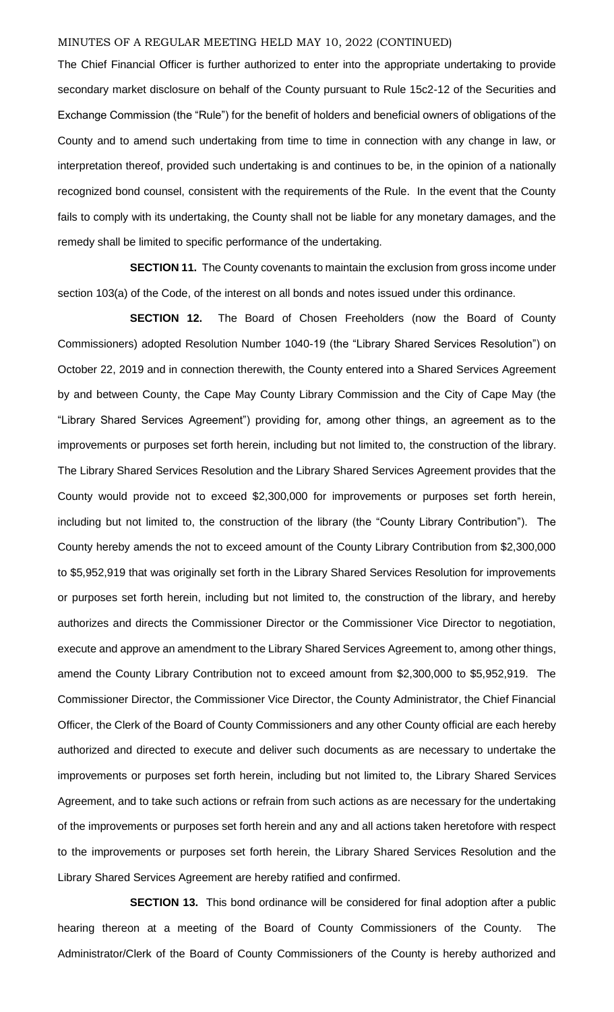The Chief Financial Officer is further authorized to enter into the appropriate undertaking to provide secondary market disclosure on behalf of the County pursuant to Rule 15c2-12 of the Securities and Exchange Commission (the "Rule") for the benefit of holders and beneficial owners of obligations of the County and to amend such undertaking from time to time in connection with any change in law, or interpretation thereof, provided such undertaking is and continues to be, in the opinion of a nationally recognized bond counsel, consistent with the requirements of the Rule. In the event that the County fails to comply with its undertaking, the County shall not be liable for any monetary damages, and the remedy shall be limited to specific performance of the undertaking.

**SECTION 11.** The County covenants to maintain the exclusion from gross income under section 103(a) of the Code, of the interest on all bonds and notes issued under this ordinance.

**SECTION 12.** The Board of Chosen Freeholders (now the Board of County Commissioners) adopted Resolution Number 1040-19 (the "Library Shared Services Resolution") on October 22, 2019 and in connection therewith, the County entered into a Shared Services Agreement by and between County, the Cape May County Library Commission and the City of Cape May (the "Library Shared Services Agreement") providing for, among other things, an agreement as to the improvements or purposes set forth herein, including but not limited to, the construction of the library. The Library Shared Services Resolution and the Library Shared Services Agreement provides that the County would provide not to exceed \$2,300,000 for improvements or purposes set forth herein, including but not limited to, the construction of the library (the "County Library Contribution"). The County hereby amends the not to exceed amount of the County Library Contribution from \$2,300,000 to \$5,952,919 that was originally set forth in the Library Shared Services Resolution for improvements or purposes set forth herein, including but not limited to, the construction of the library, and hereby authorizes and directs the Commissioner Director or the Commissioner Vice Director to negotiation, execute and approve an amendment to the Library Shared Services Agreement to, among other things, amend the County Library Contribution not to exceed amount from \$2,300,000 to \$5,952,919. The Commissioner Director, the Commissioner Vice Director, the County Administrator, the Chief Financial Officer, the Clerk of the Board of County Commissioners and any other County official are each hereby authorized and directed to execute and deliver such documents as are necessary to undertake the improvements or purposes set forth herein, including but not limited to, the Library Shared Services Agreement, and to take such actions or refrain from such actions as are necessary for the undertaking of the improvements or purposes set forth herein and any and all actions taken heretofore with respect to the improvements or purposes set forth herein, the Library Shared Services Resolution and the Library Shared Services Agreement are hereby ratified and confirmed.

**SECTION 13.** This bond ordinance will be considered for final adoption after a public hearing thereon at a meeting of the Board of County Commissioners of the County. The Administrator/Clerk of the Board of County Commissioners of the County is hereby authorized and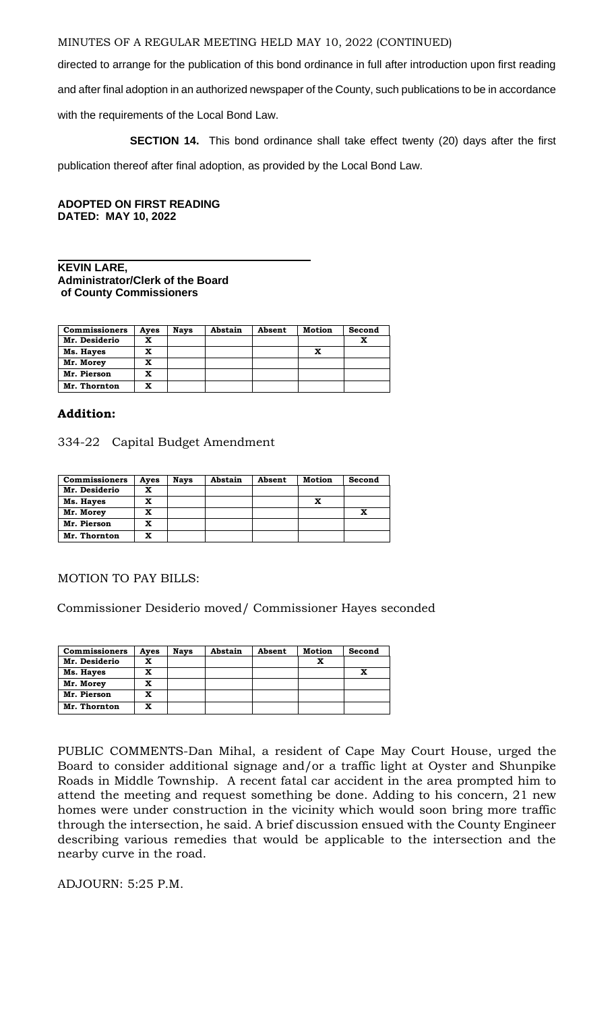directed to arrange for the publication of this bond ordinance in full after introduction upon first reading

and after final adoption in an authorized newspaper of the County, such publications to be in accordance

with the requirements of the Local Bond Law.

**SECTION 14.** This bond ordinance shall take effect twenty (20) days after the first

publication thereof after final adoption, as provided by the Local Bond Law.

**ADOPTED ON FIRST READING DATED: MAY 10, 2022**

## **KEVIN LARE, Administrator/Clerk of the Board of County Commissioners**

| <b>Commissioners</b> | Aves | <b>Nays</b> | Abstain | Absent | <b>Motion</b> | Second |
|----------------------|------|-------------|---------|--------|---------------|--------|
| Mr. Desiderio        | x    |             |         |        |               | x      |
| Ms. Hayes            | x    |             |         |        | x             |        |
| Mr. Morey            | x    |             |         |        |               |        |
| Mr. Pierson          | x    |             |         |        |               |        |
| Mr. Thornton         | x    |             |         |        |               |        |

# **Addition:**

334-22 Capital Budget Amendment

| <b>Commissioners</b> | Ayes | <b>Nays</b> | Abstain | Absent | <b>Motion</b> | Second |
|----------------------|------|-------------|---------|--------|---------------|--------|
| Mr. Desiderio        | x    |             |         |        |               |        |
| Ms. Hayes            | x    |             |         |        | x             |        |
| Mr. Morey            | x    |             |         |        |               |        |
| Mr. Pierson          | x    |             |         |        |               |        |
| Mr. Thornton         | x    |             |         |        |               |        |

MOTION TO PAY BILLS:

Commissioner Desiderio moved/ Commissioner Hayes seconded

| <b>Commissioners</b> | Ayes | <b>Nays</b> | Abstain | Absent | <b>Motion</b> | Second |
|----------------------|------|-------------|---------|--------|---------------|--------|
| Mr. Desiderio        | x    |             |         |        |               |        |
| Ms. Hayes            | x    |             |         |        |               |        |
| Mr. Morey            | X    |             |         |        |               |        |
| Mr. Pierson          | x    |             |         |        |               |        |
| Mr. Thornton         | x    |             |         |        |               |        |

PUBLIC COMMENTS-Dan Mihal, a resident of Cape May Court House, urged the Board to consider additional signage and/or a traffic light at Oyster and Shunpike Roads in Middle Township. A recent fatal car accident in the area prompted him to attend the meeting and request something be done. Adding to his concern, 21 new homes were under construction in the vicinity which would soon bring more traffic through the intersection, he said. A brief discussion ensued with the County Engineer describing various remedies that would be applicable to the intersection and the nearby curve in the road.

ADJOURN: 5:25 P.M.